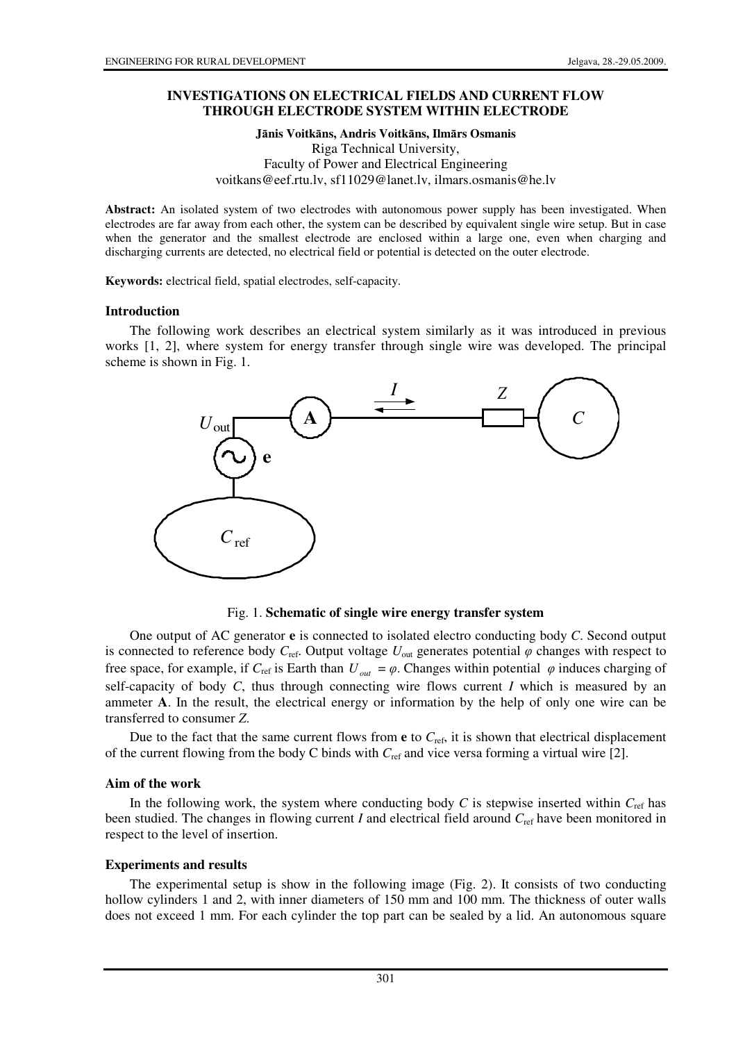## **INVESTIGATIONS ON ELECTRICAL FIELDS AND CURRENT FLOW THROUGH ELECTRODE SYSTEM WITHIN ELECTRODE**

**J**ā**nis Voitk**ā**ns, Andris Voitk**ā**ns, Ilm**ā**rs Osmanis**  Riga Technical University, Faculty of Power and Electrical Engineering voitkans@eef.rtu.lv, sf11029@lanet.lv, ilmars.osmanis@he.lv

**Abstract:** An isolated system of two electrodes with autonomous power supply has been investigated. When electrodes are far away from each other, the system can be described by equivalent single wire setup. But in case when the generator and the smallest electrode are enclosed within a large one, even when charging and discharging currents are detected, no electrical field or potential is detected on the outer electrode.

**Keywords:** electrical field, spatial electrodes, self-capacity.

#### **Introduction**

The following work describes an electrical system similarly as it was introduced in previous works [1, 2], where system for energy transfer through single wire was developed. The principal scheme is shown in Fig. 1.



Fig. 1. **Schematic of single wire energy transfer system** 

One output of AC generator **e** is connected to isolated electro conducting body *C*. Second output is connected to reference body  $C_{\text{ref}}$ . Output voltage  $U_{\text{out}}$  generates potential  $\varphi$  changes with respect to free space, for example, if  $C_{\text{ref}}$  is Earth than  $U_{out} = \varphi$ . Changes within potential  $\varphi$  induces charging of self-capacity of body *C*, thus through connecting wire flows current *I* which is measured by an ammeter **A**. In the result, the electrical energy or information by the help of only one wire can be transferred to consumer *Z*.

Due to the fact that the same current flows from  $e$  to  $C_{\text{ref}}$ , it is shown that electrical displacement of the current flowing from the body C binds with  $C_{ref}$  and vice versa forming a virtual wire [2].

### **Aim of the work**

In the following work, the system where conducting body  $C$  is stepwise inserted within  $C_{\text{ref}}$  has been studied. The changes in flowing current *I* and electrical field around *C*ref have been monitored in respect to the level of insertion.

### **Experiments and results**

The experimental setup is show in the following image (Fig. 2). It consists of two conducting hollow cylinders 1 and 2, with inner diameters of 150 mm and 100 mm. The thickness of outer walls does not exceed 1 mm. For each cylinder the top part can be sealed by a lid. An autonomous square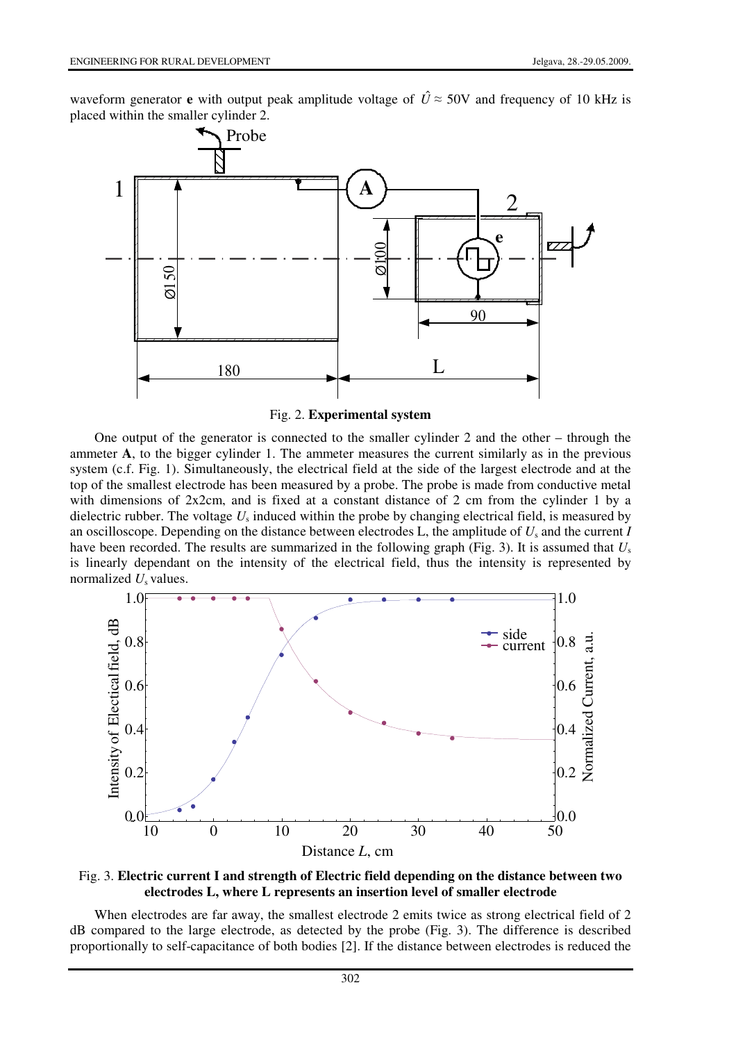waveform generator **e** with output peak amplitude voltage of  $\hat{U} \approx 50V$  and frequency of 10 kHz is placed within the smaller cylinder 2.



Fig. 2. **Experimental system**

One output of the generator is connected to the smaller cylinder 2 and the other – through the ammeter **A**, to the bigger cylinder 1. The ammeter measures the current similarly as in the previous system (c.f. Fig. 1). Simultaneously, the electrical field at the side of the largest electrode and at the top of the smallest electrode has been measured by a probe. The probe is made from conductive metal with dimensions of 2x2cm, and is fixed at a constant distance of 2 cm from the cylinder 1 by a dielectric rubber. The voltage *U*<sup>s</sup> induced within the probe by changing electrical field, is measured by an oscilloscope. Depending on the distance between electrodes L, the amplitude of *U*<sup>s</sup> and the current *I* have been recorded. The results are summarized in the following graph (Fig. 3). It is assumed that *U*<sup>s</sup> is linearly dependant on the intensity of the electrical field, thus the intensity is represented by normalized *U<sub>s</sub>* values.





When electrodes are far away, the smallest electrode 2 emits twice as strong electrical field of 2 dB compared to the large electrode, as detected by the probe (Fig. 3). The difference is described proportionally to self-capacitance of both bodies [2]. If the distance between electrodes is reduced the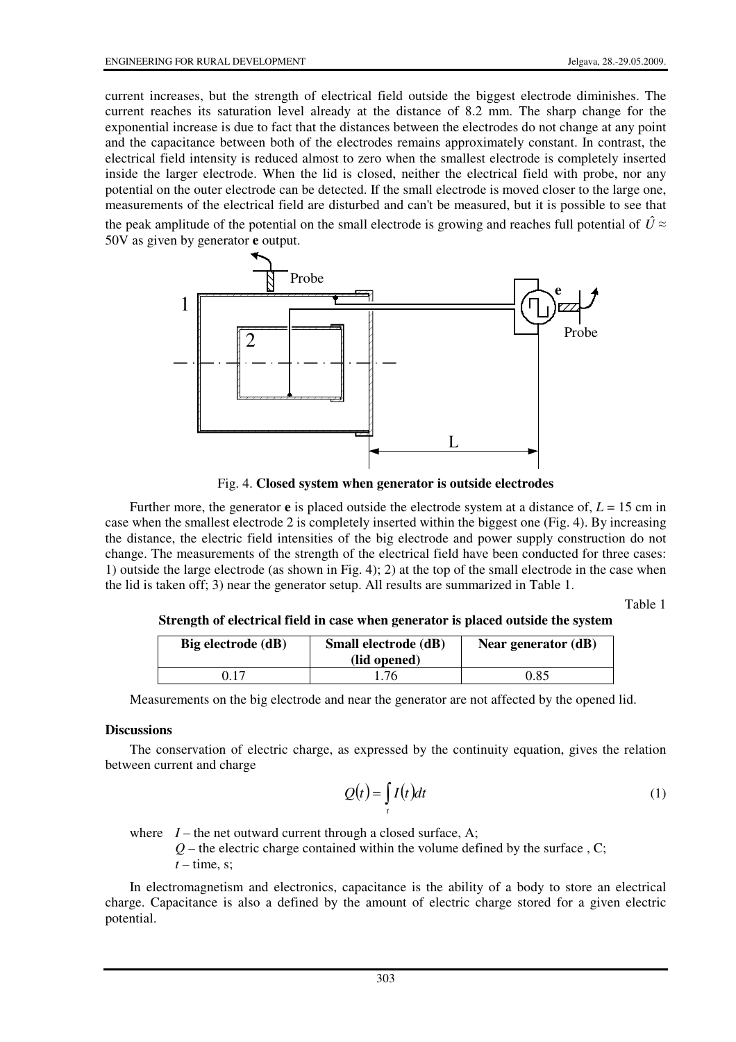current increases, but the strength of electrical field outside the biggest electrode diminishes. The current reaches its saturation level already at the distance of 8.2 mm. The sharp change for the exponential increase is due to fact that the distances between the electrodes do not change at any point and the capacitance between both of the electrodes remains approximately constant. In contrast, the electrical field intensity is reduced almost to zero when the smallest electrode is completely inserted inside the larger electrode. When the lid is closed, neither the electrical field with probe, nor any potential on the outer electrode can be detected. If the small electrode is moved closer to the large one, measurements of the electrical field are disturbed and can't be measured, but it is possible to see that the peak amplitude of the potential on the small electrode is growing and reaches full potential of  $\hat{U} \approx$ 50V as given by generator **e** output.



Fig. 4. **Closed system when generator is outside electrodes**

Further more, the generator **e** is placed outside the electrode system at a distance of,  $L = 15$  cm in case when the smallest electrode 2 is completely inserted within the biggest one (Fig. 4). By increasing the distance, the electric field intensities of the big electrode and power supply construction do not change. The measurements of the strength of the electrical field have been conducted for three cases: 1) outside the large electrode (as shown in Fig. 4); 2) at the top of the small electrode in the case when the lid is taken off; 3) near the generator setup. All results are summarized in Table 1.

Table 1

**Strength of electrical field in case when generator is placed outside the system** 

| Big electrode (dB) | Small electrode (dB)<br>(lid opened) | Near generator (dB) |
|--------------------|--------------------------------------|---------------------|
| າ 17               | .76                                  | 0.85                |

Measurements on the big electrode and near the generator are not affected by the opened lid.

# **Discussions**

The conservation of electric charge, as expressed by the continuity equation, gives the relation between current and charge

$$
Q(t) = \int_{t} I(t)dt
$$
 (1)

where  $I$  – the net outward current through a closed surface, A;

 $Q$  – the electric charge contained within the volume defined by the surface  $Q$ .  $t$  – time, s;

In electromagnetism and electronics, capacitance is the ability of a body to store an electrical charge. Capacitance is also a defined by the amount of electric charge stored for a given electric potential.